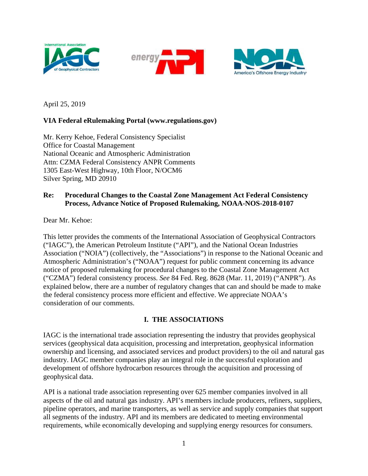





April 25, 2019

# **VIA Federal eRulemaking Portal (www.regulations.gov)**

Mr. Kerry Kehoe, Federal Consistency Specialist Office for Coastal Management National Oceanic and Atmospheric Administration Attn: CZMA Federal Consistency ANPR Comments 1305 East-West Highway, 10th Floor, N/OCM6 Silver Spring, MD 20910

## **Re: Procedural Changes to the Coastal Zone Management Act Federal Consistency Process, Advance Notice of Proposed Rulemaking, NOAA-NOS-2018-0107**

Dear Mr. Kehoe:

This letter provides the comments of the International Association of Geophysical Contractors ("IAGC"), the American Petroleum Institute ("API"), and the National Ocean Industries Association ("NOIA") (collectively, the "Associations") in response to the National Oceanic and Atmospheric Administration's ("NOAA") request for public comment concerning its advance notice of proposed rulemaking for procedural changes to the Coastal Zone Management Act ("CZMA") federal consistency process. *See* 84 Fed. Reg. 8628 (Mar. 11, 2019) ("ANPR"). As explained below, there are a number of regulatory changes that can and should be made to make the federal consistency process more efficient and effective. We appreciate NOAA's consideration of our comments.

### **I. THE ASSOCIATIONS**

IAGC is the international trade association representing the industry that provides geophysical services (geophysical data acquisition, processing and interpretation, geophysical information ownership and licensing, and associated services and product providers) to the oil and natural gas industry. IAGC member companies play an integral role in the successful exploration and development of offshore hydrocarbon resources through the acquisition and processing of geophysical data.

API is a national trade association representing over 625 member companies involved in all aspects of the oil and natural gas industry. API's members include producers, refiners, suppliers, pipeline operators, and marine transporters, as well as service and supply companies that support all segments of the industry. API and its members are dedicated to meeting environmental requirements, while economically developing and supplying energy resources for consumers.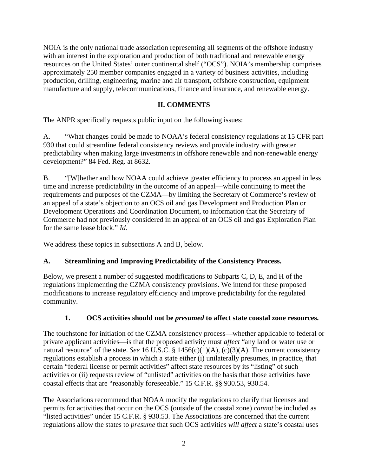NOIA is the only national trade association representing all segments of the offshore industry with an interest in the exploration and production of both traditional and renewable energy resources on the United States' outer continental shelf ("OCS"). NOIA's membership comprises approximately 250 member companies engaged in a variety of business activities, including production, drilling, engineering, marine and air transport, offshore construction, equipment manufacture and supply, telecommunications, finance and insurance, and renewable energy.

# **II. COMMENTS**

The ANPR specifically requests public input on the following issues:

A. "What changes could be made to NOAA's federal consistency regulations at 15 CFR part 930 that could streamline federal consistency reviews and provide industry with greater predictability when making large investments in offshore renewable and non-renewable energy development?" 84 Fed. Reg. at 8632.

B. "[W]hether and how NOAA could achieve greater efficiency to process an appeal in less time and increase predictability in the outcome of an appeal—while continuing to meet the requirements and purposes of the CZMA—by limiting the Secretary of Commerce's review of an appeal of a state's objection to an OCS oil and gas Development and Production Plan or Development Operations and Coordination Document, to information that the Secretary of Commerce had not previously considered in an appeal of an OCS oil and gas Exploration Plan for the same lease block." *Id*.

We address these topics in subsections A and B, below.

# **A. Streamlining and Improving Predictability of the Consistency Process.**

Below, we present a number of suggested modifications to Subparts C, D, E, and H of the regulations implementing the CZMA consistency provisions. We intend for these proposed modifications to increase regulatory efficiency and improve predictability for the regulated community.

### **1. OCS activities should not be** *presumed* **to affect state coastal zone resources.**

The touchstone for initiation of the CZMA consistency process—whether applicable to federal or private applicant activities—is that the proposed activity must *affect* "any land or water use or natural resource" of the state. *See* 16 U.S.C. § 1456(c)(1)(A), (c)(3)(A). The current consistency regulations establish a process in which a state either (i) unilaterally presumes, in practice, that certain "federal license or permit activities" affect state resources by its "listing" of such activities or (ii) requests review of "unlisted" activities on the basis that those activities have coastal effects that are "reasonably foreseeable." 15 C.F.R. §§ 930.53, 930.54.

The Associations recommend that NOAA modify the regulations to clarify that licenses and permits for activities that occur on the OCS (outside of the coastal zone) *cannot* be included as "listed activities" under 15 C.F.R. § 930.53. The Associations are concerned that the current regulations allow the states to *presume* that such OCS activities *will affect* a state's coastal uses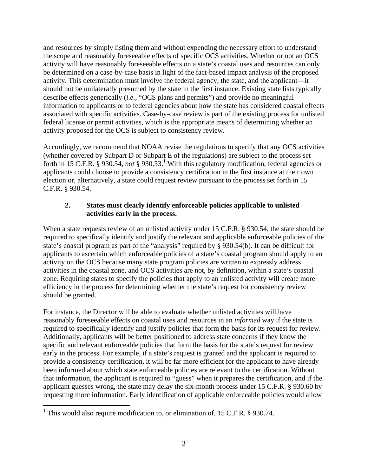and resources by simply listing them and without expending the necessary effort to understand the scope and reasonably foreseeable effects of specific OCS activities. Whether or not an OCS activity will have reasonably foreseeable effects on a state's coastal uses and resources can only be determined on a case-by-case basis in light of the fact-based impact analysis of the proposed activity. This determination must involve the federal agency, the state, and the applicant—it should not be unilaterally presumed by the state in the first instance. Existing state lists typically describe effects generically (*i.e.*, "OCS plans and permits") and provide no meaningful information to applicants or to federal agencies about how the state has considered coastal effects associated with specific activities. Case-by-case review is part of the existing process for unlisted federal license or permit activities, which is the appropriate means of determining whether an activity proposed for the OCS is subject to consistency review.

Accordingly, we recommend that NOAA revise the regulations to specify that any OCS activities (whether covered by Subpart D or Subpart E of the regulations) are subject to the process set forth in 15 C.F.R.  $\frac{8}{9}$  930.54, *not*  $\frac{8}{9}$  930.53.<sup>1</sup> With this regulatory modification, federal agencies or applicants could choose to provide a consistency certification in the first instance at their own election or, alternatively, a state could request review pursuant to the process set forth in 15 C.F.R. § 930.54.

## **2. States must clearly identify enforceable policies applicable to unlisted activities early in the process.**

When a state requests review of an unlisted activity under 15 C.F.R. § 930.54, the state should be required to specifically identify and justify the relevant and applicable enforceable policies of the state's coastal program as part of the "analysis" required by § 930.54(b). It can be difficult for applicants to ascertain which enforceable policies of a state's coastal program should apply to an activity on the OCS because many state program policies are written to expressly address activities in the coastal zone, and OCS activities are not, by definition, within a state's coastal zone. Requiring states to specify the policies that apply to an unlisted activity will create more efficiency in the process for determining whether the state's request for consistency review should be granted.

For instance, the Director will be able to evaluate whether unlisted activities will have reasonably foreseeable effects on coastal uses and resources in an *informed* way if the state is required to specifically identify and justify policies that form the basis for its request for review. Additionally, applicants will be better positioned to address state concerns if they know the specific and relevant enforceable policies that form the basis for the state's request for review early in the process. For example, if a state's request is granted and the applicant is required to provide a consistency certification, it will be far more efficient for the applicant to have already been informed about which state enforceable policies are relevant to the certification. Without that information, the applicant is required to "guess" when it prepares the certification, and if the applicant guesses wrong, the state may delay the six-month process under 15 C.F.R. § 930.60 by requesting more information. Early identification of applicable enforceable policies would allow

 $\overline{a}$ 

<sup>&</sup>lt;sup>1</sup> This would also require modification to, or elimination of, 15 C.F.R. § 930.74.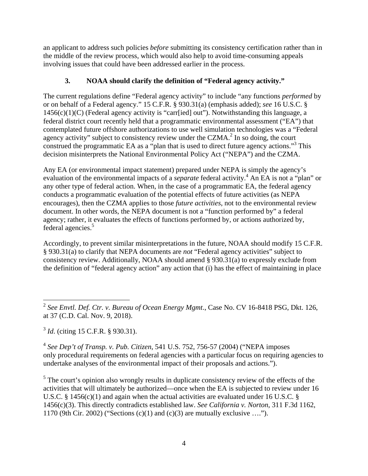an applicant to address such policies *before* submitting its consistency certification rather than in the middle of the review process, which would also help to avoid time-consuming appeals involving issues that could have been addressed earlier in the process.

# **3. NOAA should clarify the definition of "Federal agency activity."**

The current regulations define "Federal agency activity" to include "any functions *performed* by or on behalf of a Federal agency." 15 C.F.R. § 930.31(a) (emphasis added); *see* 16 U.S.C. §  $1456(c)(1)(C)$  (Federal agency activity is "carr[ied] out"). Notwithstanding this language, a federal district court recently held that a programmatic environmental assessment ("EA") that contemplated future offshore authorizations to use well simulation technologies was a "Federal agency activity" subject to consistency review under the CZMA.<sup>2</sup> In so doing, the court construed the programmatic EA as a "plan that is used to direct future agency actions."<sup>3</sup> This decision misinterprets the National Environmental Policy Act ("NEPA") and the CZMA.

Any EA (or environmental impact statement) prepared under NEPA is simply the agency's evaluation of the environmental impacts of a *separate* federal activity.<sup>4</sup> An EA is not a "plan" or any other type of federal action. When, in the case of a programmatic EA, the federal agency conducts a programmatic evaluation of the potential effects of future activities (as NEPA encourages), then the CZMA applies to those *future activities*, not to the environmental review document. In other words, the NEPA document is not a "function performed by" a federal agency; rather, it evaluates the effects of functions performed by, or actions authorized by, federal agencies.<sup>5</sup>

Accordingly, to prevent similar misinterpretations in the future, NOAA should modify 15 C.F.R. § 930.31(a) to clarify that NEPA documents are *not* "Federal agency activities" subject to consistency review. Additionally, NOAA should amend § 930.31(a) to expressly exclude from the definition of "federal agency action" any action that (i) has the effect of maintaining in place

<sup>3</sup> *Id*. (citing 15 C.F.R. § 930.31).

1

<sup>4</sup> *See Dep't of Transp. v. Pub. Citizen*, 541 U.S. 752, 756-57 (2004) ("NEPA imposes only procedural requirements on federal agencies with a particular focus on requiring agencies to undertake analyses of the environmental impact of their proposals and actions.").

 $<sup>5</sup>$  The court's opinion also wrongly results in duplicate consistency review of the effects of the</sup> activities that will ultimately be authorized—once when the EA is subjected to review under 16 U.S.C. § 1456(c)(1) and again when the actual activities are evaluated under 16 U.S.C. § 1456(c)(3). This directly contradicts established law. *See California v. Norton*, 311 F.3d 1162, 1170 (9th Cir. 2002) ("Sections  $(c)(1)$  and  $(c)(3)$  are mutually exclusive ....").

<sup>2</sup> *See Envtl. Def. Ctr. v. Bureau of Ocean Energy Mgmt*., Case No. CV 16-8418 PSG, Dkt. 126, at 37 (C.D. Cal. Nov. 9, 2018).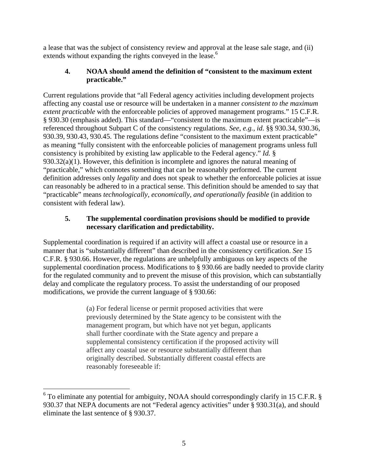a lease that was the subject of consistency review and approval at the lease sale stage, and (ii) extends without expanding the rights conveyed in the lease.<sup>6</sup>

### **4. NOAA should amend the definition of "consistent to the maximum extent practicable."**

Current regulations provide that "all Federal agency activities including development projects affecting any coastal use or resource will be undertaken in a manner *consistent to the maximum extent practicable* with the enforceable policies of approved management programs." 15 C.F.R. § 930.30 (emphasis added). This standard—"consistent to the maximum extent practicable"—is referenced throughout Subpart C of the consistency regulations. *See, e.g.*, *id*. §§ 930.34, 930.36, 930.39, 930.43, 930.45. The regulations define "consistent to the maximum extent practicable" as meaning "fully consistent with the enforceable policies of management programs unless full consistency is prohibited by existing law applicable to the Federal agency." *Id.* § 930.32(a)(1). However, this definition is incomplete and ignores the natural meaning of "practicable," which connotes something that can be reasonably performed. The current definition addresses only *legality* and does not speak to whether the enforceable policies at issue can reasonably be adhered to in a practical sense. This definition should be amended to say that "practicable" means *technologically, economically, and operationally feasible* (in addition to consistent with federal law).

### **5. The supplemental coordination provisions should be modified to provide necessary clarification and predictability.**

Supplemental coordination is required if an activity will affect a coastal use or resource in a manner that is "substantially different" than described in the consistency certification. *See* 15 C.F.R. § 930.66. However, the regulations are unhelpfully ambiguous on key aspects of the supplemental coordination process. Modifications to § 930.66 are badly needed to provide clarity for the regulated community and to prevent the misuse of this provision, which can substantially delay and complicate the regulatory process. To assist the understanding of our proposed modifications, we provide the current language of § 930.66:

> (a) For federal license or permit proposed activities that were previously determined by the State agency to be consistent with the management program, but which have not yet begun, applicants shall further coordinate with the State agency and prepare a supplemental consistency certification if the proposed activity will affect any coastal use or resource substantially different than originally described. Substantially different coastal effects are reasonably foreseeable if:

 6 To eliminate any potential for ambiguity, NOAA should correspondingly clarify in 15 C.F.R. § 930.37 that NEPA documents are not "Federal agency activities" under § 930.31(a), and should eliminate the last sentence of § 930.37.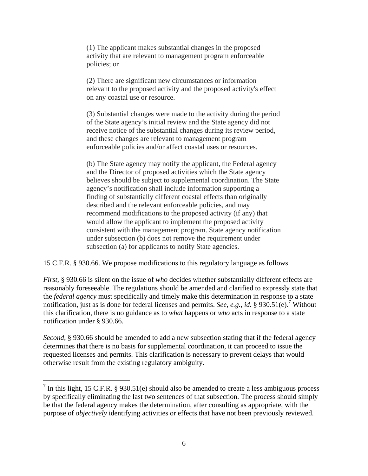(1) The applicant makes substantial changes in the proposed activity that are relevant to management program enforceable policies; or

(2) There are significant new circumstances or information relevant to the proposed activity and the proposed activity's effect on any coastal use or resource.

(3) Substantial changes were made to the activity during the period of the State agency's initial review and the State agency did not receive notice of the substantial changes during its review period, and these changes are relevant to management program enforceable policies and/or affect coastal uses or resources.

(b) The State agency may notify the applicant, the Federal agency and the Director of proposed activities which the State agency believes should be subject to supplemental coordination. The State agency's notification shall include information supporting a finding of substantially different coastal effects than originally described and the relevant enforceable policies, and may recommend modifications to the proposed activity (if any) that would allow the applicant to implement the proposed activity consistent with the management program. State agency notification under subsection (b) does not remove the requirement under subsection (a) for applicants to notify State agencies.

15 C.F.R. § 930.66. We propose modifications to this regulatory language as follows.

*First*, § 930.66 is silent on the issue of *who* decides whether substantially different effects are reasonably foreseeable. The regulations should be amended and clarified to expressly state that the *federal agency* must specifically and timely make this determination in response to a state notification, just as is done for federal licenses and permits. *See, e.g., id.* § 930.51(e).<sup>7</sup> Without this clarification, there is no guidance as to *what* happens or *who* acts in response to a state notification under § 930.66.

*Second*, § 930.66 should be amended to add a new subsection stating that if the federal agency determines that there is no basis for supplemental coordination, it can proceed to issue the requested licenses and permits. This clarification is necessary to prevent delays that would otherwise result from the existing regulatory ambiguity.

 $\overline{a}$ 

<sup>&</sup>lt;sup>7</sup> In this light, 15 C.F.R. § 930.51(e) should also be amended to create a less ambiguous process by specifically eliminating the last two sentences of that subsection. The process should simply be that the federal agency makes the determination, after consulting as appropriate, with the purpose of *objectively* identifying activities or effects that have not been previously reviewed.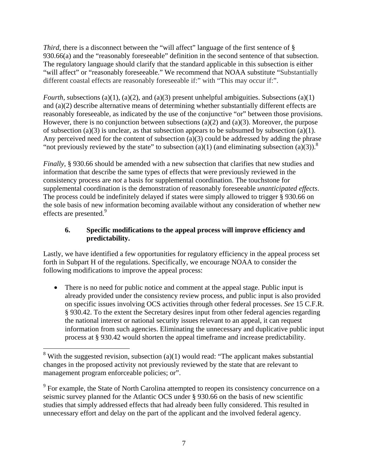*Third*, there is a disconnect between the "will affect" language of the first sentence of § 930.66(a) and the "reasonably foreseeable" definition in the second sentence of that subsection. The regulatory language should clarify that the standard applicable in this subsection is either "will affect" or "reasonably foreseeable." We recommend that NOAA substitute "Substantially different coastal effects are reasonably foreseeable if:" with "This may occur if:".

*Fourth*, subsections (a)(1), (a)(2), and (a)(3) present unhelpful ambiguities. Subsections (a)(1) and (a)(2) describe alternative means of determining whether substantially different effects are reasonably foreseeable, as indicated by the use of the conjunctive "or" between those provisions. However, there is no conjunction between subsections  $(a)(2)$  and  $(a)(3)$ . Moreover, the purpose of subsection (a)(3) is unclear, as that subsection appears to be subsumed by subsection (a)(1). Any perceived need for the content of subsection (a)(3) could be addressed by adding the phrase "not previously reviewed by the state" to subsection (a)(1) (and eliminating subsection (a)(3)).<sup>8</sup>

*Finally*, § 930.66 should be amended with a new subsection that clarifies that new studies and information that describe the same types of effects that were previously reviewed in the consistency process are *not* a basis for supplemental coordination. The touchstone for supplemental coordination is the demonstration of reasonably foreseeable *unanticipated effects*. The process could be indefinitely delayed if states were simply allowed to trigger § 930.66 on the sole basis of new information becoming available without any consideration of whether new effects are presented.<sup>9</sup>

## **6. Specific modifications to the appeal process will improve efficiency and predictability.**

Lastly, we have identified a few opportunities for regulatory efficiency in the appeal process set forth in Subpart H of the regulations. Specifically, we encourage NOAA to consider the following modifications to improve the appeal process:

• There is no need for public notice and comment at the appeal stage. Public input is already provided under the consistency review process, and public input is also provided on specific issues involving OCS activities through other federal processes. *See* 15 C.F.R. § 930.42. To the extent the Secretary desires input from other federal agencies regarding the national interest or national security issues relevant to an appeal, it can request information from such agencies. Eliminating the unnecessary and duplicative public input process at § 930.42 would shorten the appeal timeframe and increase predictability.

1

<sup>&</sup>lt;sup>8</sup> With the suggested revision, subsection (a)(1) would read: "The applicant makes substantial changes in the proposed activity not previously reviewed by the state that are relevant to management program enforceable policies; or".

<sup>&</sup>lt;sup>9</sup> For example, the State of North Carolina attempted to reopen its consistency concurrence on a seismic survey planned for the Atlantic OCS under § 930.66 on the basis of new scientific studies that simply addressed effects that had already been fully considered. This resulted in unnecessary effort and delay on the part of the applicant and the involved federal agency.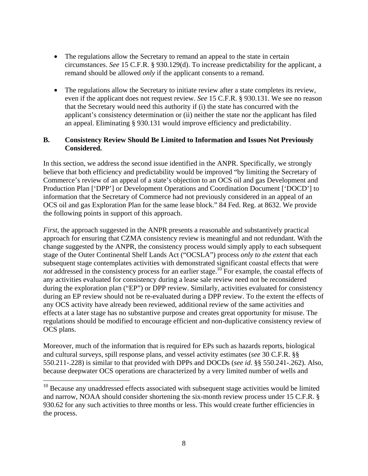- The regulations allow the Secretary to remand an appeal to the state in certain circumstances. *See* 15 C.F.R. § 930.129(d). To increase predictability for the applicant, a remand should be allowed *only* if the applicant consents to a remand.
- The regulations allow the Secretary to initiate review after a state completes its review, even if the applicant does not request review. *See* 15 C.F.R. § 930.131. We see no reason that the Secretary would need this authority if (i) the state has concurred with the applicant's consistency determination or (ii) neither the state nor the applicant has filed an appeal. Eliminating § 930.131 would improve efficiency and predictability.

### **B. Consistency Review Should Be Limited to Information and Issues Not Previously Considered.**

In this section, we address the second issue identified in the ANPR. Specifically, we strongly believe that both efficiency and predictability would be improved "by limiting the Secretary of Commerce's review of an appeal of a state's objection to an OCS oil and gas Development and Production Plan ['DPP'] or Development Operations and Coordination Document ['DOCD'] to information that the Secretary of Commerce had not previously considered in an appeal of an OCS oil and gas Exploration Plan for the same lease block." 84 Fed. Reg. at 8632. We provide the following points in support of this approach.

*First*, the approach suggested in the ANPR presents a reasonable and substantively practical approach for ensuring that CZMA consistency review is meaningful and not redundant. With the change suggested by the ANPR, the consistency process would simply apply to each subsequent stage of the Outer Continental Shelf Lands Act ("OCSLA") process *only to the extent* that each subsequent stage contemplates activities with demonstrated significant coastal effects that were *not* addressed in the consistency process for an earlier stage.<sup>10</sup> For example, the coastal effects of any activities evaluated for consistency during a lease sale review need not be reconsidered during the exploration plan ("EP") or DPP review. Similarly, activities evaluated for consistency during an EP review should not be re-evaluated during a DPP review. To the extent the effects of any OCS activity have already been reviewed, additional review of the same activities and effects at a later stage has no substantive purpose and creates great opportunity for misuse. The regulations should be modified to encourage efficient and non-duplicative consistency review of OCS plans.

Moreover, much of the information that is required for EPs such as hazards reports, biological and cultural surveys, spill response plans, and vessel activity estimates (*see* 30 C.F.R. §§ 550.211-.228) is similar to that provided with DPPs and DOCDs (*see id*. §§ 550.241-.262). Also, because deepwater OCS operations are characterized by a very limited number of wells and

 $\overline{a}$ 

 $10$  Because any unaddressed effects associated with subsequent stage activities would be limited and narrow, NOAA should consider shortening the six-month review process under 15 C.F.R. § 930.62 for any such activities to three months or less. This would create further efficiencies in the process.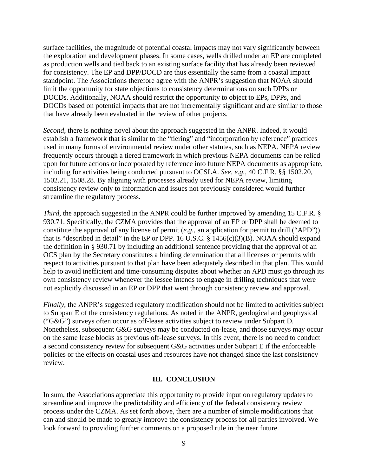surface facilities, the magnitude of potential coastal impacts may not vary significantly between the exploration and development phases. In some cases, wells drilled under an EP are completed as production wells and tied back to an existing surface facility that has already been reviewed for consistency. The EP and DPP/DOCD are thus essentially the same from a coastal impact standpoint. The Associations therefore agree with the ANPR's suggestion that NOAA should limit the opportunity for state objections to consistency determinations on such DPPs or DOCDs. Additionally, NOAA should restrict the opportunity to object to EPs, DPPs, and DOCDs based on potential impacts that are not incrementally significant and are similar to those that have already been evaluated in the review of other projects.

*Second*, there is nothing novel about the approach suggested in the ANPR. Indeed, it would establish a framework that is similar to the "tiering" and "incorporation by reference" practices used in many forms of environmental review under other statutes, such as NEPA. NEPA review frequently occurs through a tiered framework in which previous NEPA documents can be relied upon for future actions or incorporated by reference into future NEPA documents as appropriate, including for activities being conducted pursuant to OCSLA. *See, e.g.*, 40 C.F.R. §§ 1502.20, 1502.21, 1508.28. By aligning with processes already used for NEPA review, limiting consistency review only to information and issues not previously considered would further streamline the regulatory process.

*Third*, the approach suggested in the ANPR could be further improved by amending 15 C.F.R. § 930.71. Specifically, the CZMA provides that the approval of an EP or DPP shall be deemed to constitute the approval of any license of permit (*e.g.*, an application for permit to drill ("APD")) that is "described in detail" in the EP or DPP. 16 U.S.C.  $\S$  1456(c)(3)(B). NOAA should expand the definition in § 930.71 by including an additional sentence providing that the approval of an OCS plan by the Secretary constitutes a binding determination that all licenses or permits with respect to activities pursuant to that plan have been adequately described in that plan. This would help to avoid inefficient and time-consuming disputes about whether an APD must go through its own consistency review whenever the lessee intends to engage in drilling techniques that were not explicitly discussed in an EP or DPP that went through consistency review and approval.

*Finally*, the ANPR's suggested regulatory modification should not be limited to activities subject to Subpart E of the consistency regulations. As noted in the ANPR, geological and geophysical ("G&G") surveys often occur as off-lease activities subject to review under Subpart D. Nonetheless, subsequent G&G surveys may be conducted on-lease, and those surveys may occur on the same lease blocks as previous off-lease surveys. In this event, there is no need to conduct a second consistency review for subsequent G&G activities under Subpart E if the enforceable policies or the effects on coastal uses and resources have not changed since the last consistency review.

#### **III. CONCLUSION**

In sum, the Associations appreciate this opportunity to provide input on regulatory updates to streamline and improve the predictability and efficiency of the federal consistency review process under the CZMA. As set forth above, there are a number of simple modifications that can and should be made to greatly improve the consistency process for all parties involved. We look forward to providing further comments on a proposed rule in the near future.